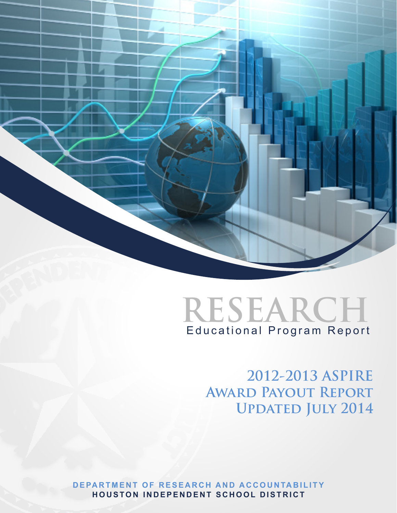



**2012-2013 ASPIRE Award Payout Report UPDATED JULY 2014** 

**DEPARTMENT OF RESEARCH AND ACCOUNTABILITY HOUSTON INDEPENDENT SCHOOL DISTRICT**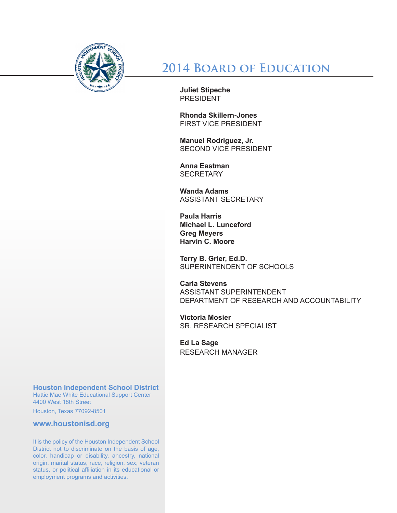

**2014 Board of Education**

**Juliet Stipeche** PRESIDENT

**Rhonda Skillern-Jones** FIRST VICE PRESIDENT

**Manuel Rodriguez, Jr.**  SECOND VICE PRESIDENT

**Anna Eastman SECRETARY** 

**Wanda Adams**  ASSISTANT SECRETARY

**Paula Harris Michael L. Lunceford Greg Meyers Harvin C. Moore**

**Terry B. Grier, Ed.D.** SUPERINTENDENT OF SCHOOLS

**Carla Stevens** ASSISTANT SUPERINTENDENT DEPARTMENT OF RESEARCH AND ACCOUNTABILITY

**Victoria Mosier** SR. RESEARCH SPECIALIST

**Ed La Sage** RESEARCH MANAGER

**Houston Independent School District**

Hattie Mae White Educational Support Center 4400 West 18th Street

Houston, Texas 77092-8501

**www.houstonisd.org**

It is the policy of the Houston Independent School District not to discriminate on the basis of age, color, handicap or disability, ancestry, national origin, marital status, race, religion, sex, veteran status, or political affiliation in its educational or employment programs and activities.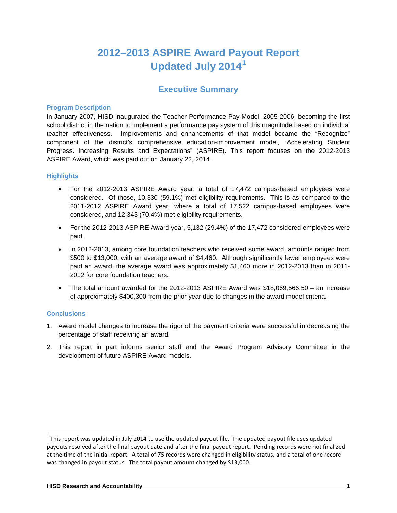## **2012–2013 ASPIRE Award Payout Report Updated July 2014[1](#page-2-0)**

## **Executive Summary**

#### **Program Description**

In January 2007, HISD inaugurated the Teacher Performance Pay Model, 2005-2006, becoming the first school district in the nation to implement a performance pay system of this magnitude based on individual teacher effectiveness. Improvements and enhancements of that model became the "Recognize" component of the district's comprehensive education-improvement model, "Accelerating Student Progress. Increasing Results and Expectations" (ASPIRE). This report focuses on the 2012-2013 ASPIRE Award, which was paid out on January 22, 2014.

#### **Highlights**

- For the 2012-2013 ASPIRE Award year, a total of 17,472 campus-based employees were considered. Of those, 10,330 (59.1%) met eligibility requirements. This is as compared to the 2011-2012 ASPIRE Award year, where a total of 17,522 campus-based employees were considered, and 12,343 (70.4%) met eligibility requirements.
- For the 2012-2013 ASPIRE Award year, 5,132 (29.4%) of the 17,472 considered employees were paid.
- In 2012-2013, among core foundation teachers who received some award, amounts ranged from \$500 to \$13,000, with an average award of \$4,460. Although significantly fewer employees were paid an award, the average award was approximately \$1,460 more in 2012-2013 than in 2011- 2012 for core foundation teachers.
- The total amount awarded for the 2012-2013 ASPIRE Award was \$18,069,566.50 an increase of approximately \$400,300 from the prior year due to changes in the award model criteria.

#### **Conclusions**

- 1. Award model changes to increase the rigor of the payment criteria were successful in decreasing the percentage of staff receiving an award.
- 2. This report in part informs senior staff and the Award Program Advisory Committee in the development of future ASPIRE Award models.

<span id="page-2-0"></span> $1$  This report was updated in July 2014 to use the updated payout file. The updated payout file uses updated payouts resolved after the final payout date and after the final payout report. Pending records were not finalized at the time of the initial report. A total of 75 records were changed in eligibility status, and a total of one record was changed in payout status. The total payout amount changed by \$13,000.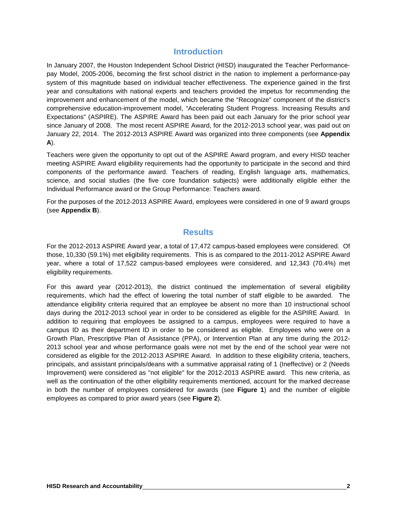## **Introduction**

In January 2007, the Houston Independent School District (HISD) inaugurated the Teacher Performancepay Model, 2005-2006, becoming the first school district in the nation to implement a performance-pay system of this magnitude based on individual teacher effectiveness. The experience gained in the first year and consultations with national experts and teachers provided the impetus for recommending the improvement and enhancement of the model, which became the "Recognize" component of the district's comprehensive education-improvement model, "Accelerating Student Progress. Increasing Results and Expectations" (ASPIRE). The ASPIRE Award has been paid out each January for the prior school year since January of 2008. The most recent ASPIRE Award, for the 2012-2013 school year, was paid out on January 22, 2014. The 2012-2013 ASPIRE Award was organized into three components (see **Appendix A**).

Teachers were given the opportunity to opt out of the ASPIRE Award program, and every HISD teacher meeting ASPIRE Award eligibility requirements had the opportunity to participate in the second and third components of the performance award. Teachers of reading, English language arts, mathematics, science, and social studies (the five core foundation subjects) were additionally eligible either the Individual Performance award or the Group Performance: Teachers award.

For the purposes of the 2012-2013 ASPIRE Award, employees were considered in one of 9 award groups (see **Appendix B**).

## **Results**

For the 2012-2013 ASPIRE Award year, a total of 17,472 campus-based employees were considered. Of those, 10,330 (59.1%) met eligibility requirements. This is as compared to the 2011-2012 ASPIRE Award year, where a total of 17,522 campus-based employees were considered, and 12,343 (70.4%) met eligibility requirements.

For this award year (2012-2013), the district continued the implementation of several eligibility requirements, which had the effect of lowering the total number of staff eligible to be awarded. The attendance eligibility criteria required that an employee be absent no more than 10 instructional school days during the 2012-2013 school year in order to be considered as eligible for the ASPIRE Award. In addition to requiring that employees be assigned to a campus, employees were required to have a campus ID as their department ID in order to be considered as eligible. Employees who were on a Growth Plan, Prescriptive Plan of Assistance (PPA), or Intervention Plan at any time during the 2012- 2013 school year and whose performance goals were not met by the end of the school year were not considered as eligible for the 2012-2013 ASPIRE Award. In addition to these eligibility criteria, teachers, principals, and assistant principals/deans with a summative appraisal rating of 1 (Ineffective) or 2 (Needs Improvement) were considered as "not eligible" for the 2012-2013 ASPIRE award. This new criteria, as well as the continuation of the other eligibility requirements mentioned, account for the marked decrease in both the number of employees considered for awards (see **Figure 1**) and the number of eligible employees as compared to prior award years (see **Figure 2**).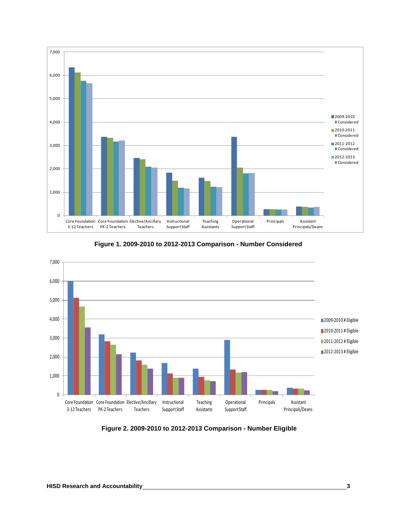



**Figure 1. 2009-2010 to 2012-2013 Comparison - Number Considered**

**Figure 2. 2009-2010 to 2012-2013 Comparison - Number Eligible**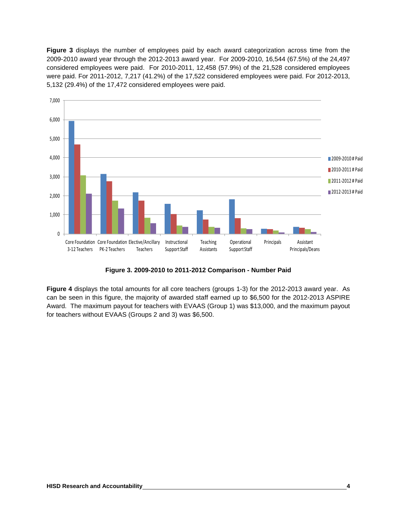**Figure 3** displays the number of employees paid by each award categorization across time from the 2009-2010 award year through the 2012-2013 award year. For 2009-2010, 16,544 (67.5%) of the 24,497 considered employees were paid. For 2010-2011, 12,458 (57.9%) of the 21,528 considered employees were paid. For 2011-2012, 7,217 (41.2%) of the 17,522 considered employees were paid. For 2012-2013, 5,132 (29.4%) of the 17,472 considered employees were paid.



**Figure 3. 2009-2010 to 2011-2012 Comparison - Number Paid**

**Figure 4** displays the total amounts for all core teachers (groups 1-3) for the 2012-2013 award year. As can be seen in this figure, the majority of awarded staff earned up to \$6,500 for the 2012-2013 ASPIRE Award. The maximum payout for teachers with EVAAS (Group 1) was \$13,000, and the maximum payout for teachers without EVAAS (Groups 2 and 3) was \$6,500.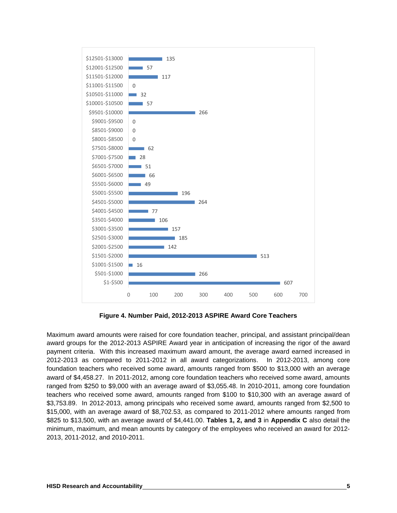

**Figure 4. Number Paid, 2012-2013 ASPIRE Award Core Teachers**

Maximum award amounts were raised for core foundation teacher, principal, and assistant principal/dean award groups for the 2012-2013 ASPIRE Award year in anticipation of increasing the rigor of the award payment criteria. With this increased maximum award amount, the average award earned increased in 2012-2013 as compared to 2011-2012 in all award categorizations. In 2012-2013, among core foundation teachers who received some award, amounts ranged from \$500 to \$13,000 with an average award of \$4,458.27. In 2011-2012, among core foundation teachers who received some award, amounts ranged from \$250 to \$9,000 with an average award of \$3,055.48. In 2010-2011, among core foundation teachers who received some award, amounts ranged from \$100 to \$10,300 with an average award of \$3,753.89. In 2012-2013, among principals who received some award, amounts ranged from \$2,500 to \$15,000, with an average award of \$8,702.53, as compared to 2011-2012 where amounts ranged from \$825 to \$13,500, with an average award of \$4,441.00. **Tables 1, 2, and 3** in **Appendix C** also detail the minimum, maximum, and mean amounts by category of the employees who received an award for 2012- 2013, 2011-2012, and 2010-2011.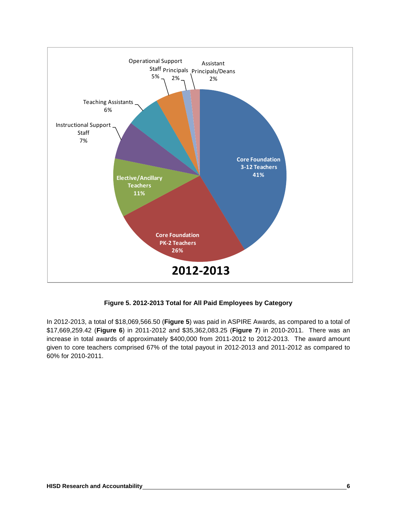

#### **Figure 5. 2012-2013 Total for All Paid Employees by Category**

In 2012-2013, a total of \$18,069,566.50 (**Figure 5**) was paid in ASPIRE Awards, as compared to a total of \$17,669,259.42 (**Figure 6**) in 2011-2012 and \$35,362,083.25 (**Figure 7**) in 2010-2011. There was an increase in total awards of approximately \$400,000 from 2011-2012 to 2012-2013. The award amount given to core teachers comprised 67% of the total payout in 2012-2013 and 2011-2012 as compared to 60% for 2010-2011.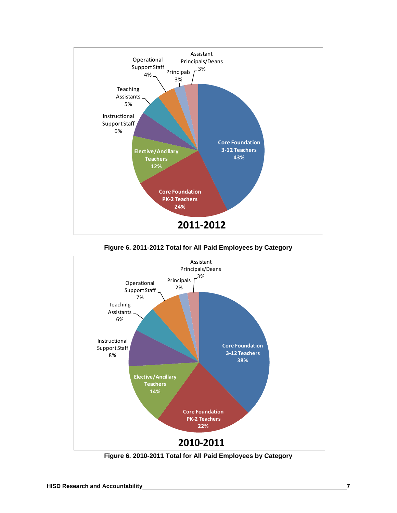

**Figure 6. 2011-2012 Total for All Paid Employees by Category**



**Figure 6. 2010-2011 Total for All Paid Employees by Category**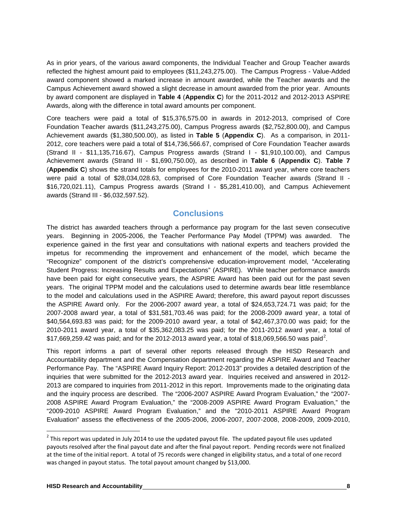As in prior years, of the various award components, the Individual Teacher and Group Teacher awards reflected the highest amount paid to employees (\$11,243,275.00). The Campus Progress - Value-Added award component showed a marked increase in amount awarded, while the Teacher awards and the Campus Achievement award showed a slight decrease in amount awarded from the prior year. Amounts by award component are displayed in **Table 4** (**Appendix C**) for the 2011-2012 and 2012-2013 ASPIRE Awards, along with the difference in total award amounts per component.

Core teachers were paid a total of \$15,376,575.00 in awards in 2012-2013, comprised of Core Foundation Teacher awards (\$11,243,275.00), Campus Progress awards (\$2,752,800.00), and Campus Achievement awards (\$1,380,500.00), as listed in **Table 5** (**Appendix C**). As a comparison, in 2011- 2012, core teachers were paid a total of \$14,736,566.67, comprised of Core Foundation Teacher awards (Strand II - \$11,135,716.67), Campus Progress awards (Strand I - \$1,910,100.00), and Campus Achievement awards (Strand III - \$1,690,750.00), as described in **Table 6** (**Appendix C**). **Table 7**  (**Appendix C**) shows the strand totals for employees for the 2010-2011 award year, where core teachers were paid a total of \$28,034,028.63, comprised of Core Foundation Teacher awards (Strand II - \$16,720,021.11), Campus Progress awards (Strand I - \$5,281,410.00), and Campus Achievement awards (Strand III - \$6,032,597.52).

## **Conclusions**

The district has awarded teachers through a performance pay program for the last seven consecutive years. Beginning in 2005-2006, the Teacher Performance Pay Model (TPPM) was awarded. The experience gained in the first year and consultations with national experts and teachers provided the impetus for recommending the improvement and enhancement of the model, which became the "Recognize" component of the district's comprehensive education-improvement model, "Accelerating Student Progress: Increasing Results and Expectations" (ASPIRE). While teacher performance awards have been paid for eight consecutive years, the ASPIRE Award has been paid out for the past seven years. The original TPPM model and the calculations used to determine awards bear little resemblance to the model and calculations used in the ASPIRE Award; therefore, this award payout report discusses the ASPIRE Award only. For the 2006-2007 award year, a total of \$24,653,724.71 was paid; for the 2007-2008 award year, a total of \$31,581,703.46 was paid; for the 2008-2009 award year, a total of \$40,564,693.83 was paid; for the 2009-2010 award year, a total of \$42,467,370.00 was paid; for the 2010-2011 award year, a total of \$35,362,083.25 was paid; for the 2011-2012 award year, a total of  $$17,669,259.42$  $$17,669,259.42$  $$17,669,259.42$  was paid; and for the 2012-2013 award year, a total of  $$18,069,566.50$  was paid<sup>2</sup>.

This report informs a part of several other reports released through the HISD Research and Accountability department and the Compensation department regarding the ASPIRE Award and Teacher Performance Pay. The "ASPIRE Award Inquiry Report: 2012-2013" provides a detailed description of the inquiries that were submitted for the 2012-2013 award year. Inquiries received and answered in 2012- 2013 are compared to inquiries from 2011-2012 in this report. Improvements made to the originating data and the inquiry process are described. The "2006-2007 ASPIRE Award Program Evaluation," the "2007- 2008 ASPIRE Award Program Evaluation," the "2008-2009 ASPIRE Award Program Evaluation," the "2009-2010 ASPIRE Award Program Evaluation," and the "2010-2011 ASPIRE Award Program Evaluation" assess the effectiveness of the 2005-2006, 2006-2007, 2007-2008, 2008-2009, 2009-2010,

<span id="page-9-0"></span> $2$  This report was updated in July 2014 to use the updated payout file. The updated payout file uses updated payouts resolved after the final payout date and after the final payout report. Pending records were not finalized at the time of the initial report. A total of 75 records were changed in eligibility status, and a total of one record was changed in payout status. The total payout amount changed by \$13,000.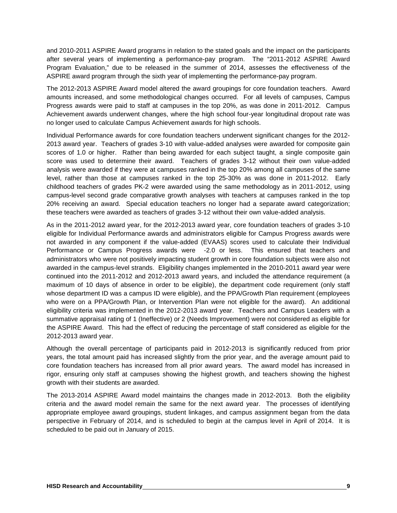and 2010-2011 ASPIRE Award programs in relation to the stated goals and the impact on the participants after several years of implementing a performance-pay program. The "2011-2012 ASPIRE Award Program Evaluation," due to be released in the summer of 2014, assesses the effectiveness of the ASPIRE award program through the sixth year of implementing the performance-pay program.

The 2012-2013 ASPIRE Award model altered the award groupings for core foundation teachers. Award amounts increased, and some methodological changes occurred. For all levels of campuses, Campus Progress awards were paid to staff at campuses in the top 20%, as was done in 2011-2012. Campus Achievement awards underwent changes, where the high school four-year longitudinal dropout rate was no longer used to calculate Campus Achievement awards for high schools.

Individual Performance awards for core foundation teachers underwent significant changes for the 2012- 2013 award year. Teachers of grades 3-10 with value-added analyses were awarded for composite gain scores of 1.0 or higher. Rather than being awarded for each subject taught, a single composite gain score was used to determine their award. Teachers of grades 3-12 without their own value-added analysis were awarded if they were at campuses ranked in the top 20% among all campuses of the same level, rather than those at campuses ranked in the top 25-30% as was done in 2011-2012. Early childhood teachers of grades PK-2 were awarded using the same methodology as in 2011-2012, using campus-level second grade comparative growth analyses with teachers at campuses ranked in the top 20% receiving an award. Special education teachers no longer had a separate award categorization; these teachers were awarded as teachers of grades 3-12 without their own value-added analysis.

As in the 2011-2012 award year, for the 2012-2013 award year, core foundation teachers of grades 3-10 eligible for Individual Performance awards and administrators eligible for Campus Progress awards were not awarded in any component if the value-added (EVAAS) scores used to calculate their Individual Performance or Campus Progress awards were -2.0 or less. This ensured that teachers and administrators who were not positively impacting student growth in core foundation subjects were also not awarded in the campus-level strands. Eligibility changes implemented in the 2010-2011 award year were continued into the 2011-2012 and 2012-2013 award years, and included the attendance requirement (a maximum of 10 days of absence in order to be eligible), the department code requirement (only staff whose department ID was a campus ID were eligible), and the PPA/Growth Plan requirement (employees who were on a PPA/Growth Plan, or Intervention Plan were not eligible for the award). An additional eligibility criteria was implemented in the 2012-2013 award year. Teachers and Campus Leaders with a summative appraisal rating of 1 (Ineffective) or 2 (Needs Improvement) were not considered as eligible for the ASPIRE Award. This had the effect of reducing the percentage of staff considered as eligible for the 2012-2013 award year.

Although the overall percentage of participants paid in 2012-2013 is significantly reduced from prior years, the total amount paid has increased slightly from the prior year, and the average amount paid to core foundation teachers has increased from all prior award years. The award model has increased in rigor, ensuring only staff at campuses showing the highest growth, and teachers showing the highest growth with their students are awarded.

The 2013-2014 ASPIRE Award model maintains the changes made in 2012-2013. Both the eligibility criteria and the award model remain the same for the next award year. The processes of identifying appropriate employee award groupings, student linkages, and campus assignment began from the data perspective in February of 2014, and is scheduled to begin at the campus level in April of 2014. It is scheduled to be paid out in January of 2015.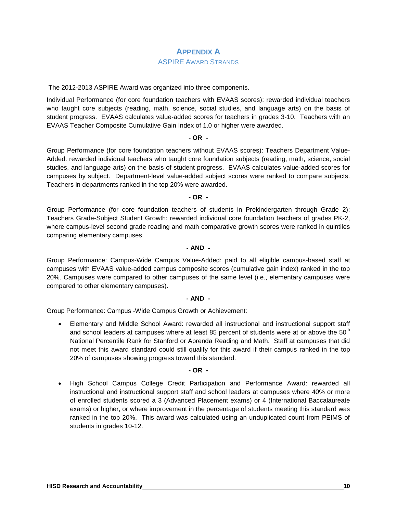## **APPENDIX A**

#### ASPIRE AWARD STRANDS

The 2012-2013 ASPIRE Award was organized into three components.

Individual Performance (for core foundation teachers with EVAAS scores): rewarded individual teachers who taught core subjects (reading, math, science, social studies, and language arts) on the basis of student progress. EVAAS calculates value-added scores for teachers in grades 3-10. Teachers with an EVAAS Teacher Composite Cumulative Gain Index of 1.0 or higher were awarded.

#### **- OR -**

Group Performance (for core foundation teachers without EVAAS scores): Teachers Department Value-Added: rewarded individual teachers who taught core foundation subjects (reading, math, science, social studies, and language arts) on the basis of student progress. EVAAS calculates value-added scores for campuses by subject. Department-level value-added subject scores were ranked to compare subjects. Teachers in departments ranked in the top 20% were awarded.

#### **- OR -**

Group Performance (for core foundation teachers of students in Prekindergarten through Grade 2): Teachers Grade-Subject Student Growth: rewarded individual core foundation teachers of grades PK-2, where campus-level second grade reading and math comparative growth scores were ranked in quintiles comparing elementary campuses.

#### **- AND -**

Group Performance: Campus-Wide Campus Value-Added: paid to all eligible campus-based staff at campuses with EVAAS value-added campus composite scores (cumulative gain index) ranked in the top 20%. Campuses were compared to other campuses of the same level (i.e., elementary campuses were compared to other elementary campuses).

#### **- AND -**

Group Performance: Campus -Wide Campus Growth or Achievement:

• Elementary and Middle School Award: rewarded all instructional and instructional support staff and school leaders at campuses where at least 85 percent of students were at or above the  $50<sup>th</sup>$ National Percentile Rank for Stanford or Aprenda Reading and Math. Staff at campuses that did not meet this award standard could still qualify for this award if their campus ranked in the top 20% of campuses showing progress toward this standard.

#### **- OR -**

• High School Campus College Credit Participation and Performance Award: rewarded all instructional and instructional support staff and school leaders at campuses where 40% or more of enrolled students scored a 3 (Advanced Placement exams) or 4 (International Baccalaureate exams) or higher, or where improvement in the percentage of students meeting this standard was ranked in the top 20%. This award was calculated using an unduplicated count from PEIMS of students in grades 10-12.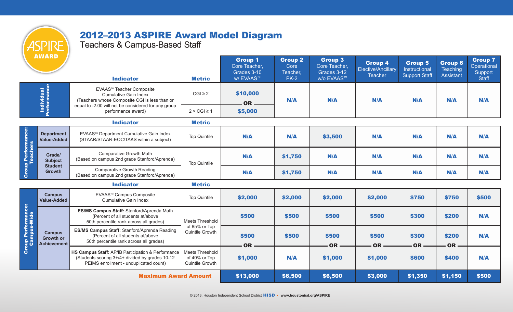# 2012–2013 ASPIRE Award Model Diagram

Teachers & Campus-Based Staff

|                                   | <b>AWARD</b>                                            | <b>Indicator</b>                                                                                                                                                 | <b>Metric</b>                                              | <b>Group 1</b><br>Core Teacher,<br>Grades 3-10<br><b>w/EVAAS™</b> | <b>Group 2</b><br>Core<br>Teacher.<br><b>PK-2</b> | <b>Group 3</b><br>Core Teacher,<br>Grades 3-12<br><b>w/o EVAAS™</b> | <b>Group 4</b><br>Elective/Ancillary<br><b>Teacher</b> | <b>Group 5</b><br>Instructional<br><b>Support Staff</b> | <b>Group 6</b><br><b>Teaching</b><br><b>Assistant</b> | <b>Group 7</b><br>Operational<br>Support<br><b>Staff</b> |
|-----------------------------------|---------------------------------------------------------|------------------------------------------------------------------------------------------------------------------------------------------------------------------|------------------------------------------------------------|-------------------------------------------------------------------|---------------------------------------------------|---------------------------------------------------------------------|--------------------------------------------------------|---------------------------------------------------------|-------------------------------------------------------|----------------------------------------------------------|
| <b>Individual</b><br>Performance  |                                                         | EVAAS™ Teacher Composite<br><b>Cumulative Gain Index</b><br>(Teachers whose Composite CGI is less than or<br>equal to -2.00 will not be considered for any group | $CGI \geq 2$                                               | \$10,000<br><b>OR</b>                                             | N/A                                               | N/A                                                                 | N/A                                                    | N/A                                                     | N/A                                                   | N/A                                                      |
|                                   |                                                         | performance award)                                                                                                                                               | $2 > CGI \ge 1$                                            | \$5,000                                                           |                                                   |                                                                     |                                                        |                                                         |                                                       |                                                          |
|                                   |                                                         | <b>Indicator</b>                                                                                                                                                 | <b>Metric</b>                                              |                                                                   |                                                   |                                                                     |                                                        |                                                         |                                                       |                                                          |
| Group Performance:<br>Teachers    | <b>Department</b><br><b>Value-Added</b>                 | EVAAS™ Department Cumulative Gain Index<br>(STAAR/STAAR-EOC/TAKS within a subject)                                                                               | <b>Top Quintile</b>                                        | N/A                                                               | N/A                                               | \$3,500                                                             | N/A                                                    | N/A                                                     | N/A                                                   | N/A                                                      |
|                                   | Grade/<br><b>Subject</b><br><b>Student</b>              | <b>Comparative Growth Math</b><br>(Based on campus 2nd grade Stanford/Aprenda)                                                                                   | <b>Top Quintile</b>                                        | N/A                                                               | \$1,750                                           | N/A                                                                 | N/A                                                    | N/A                                                     | N/A                                                   | N/A                                                      |
|                                   | <b>Growth</b>                                           | <b>Comparative Growth Reading</b><br>(Based on campus 2nd grade Stanford/Aprenda)                                                                                |                                                            | N/A                                                               | \$1,750                                           | N/A                                                                 | N/A                                                    | N/A                                                     | N/A                                                   | N/A                                                      |
|                                   |                                                         | <b>Indicator</b>                                                                                                                                                 | <b>Metric</b>                                              |                                                                   |                                                   |                                                                     |                                                        |                                                         |                                                       |                                                          |
|                                   | <b>Campus</b><br><b>Value-Added</b>                     | EVAAS™ Campus Composite<br><b>Cumulative Gain Index</b>                                                                                                          | <b>Top Quintile</b>                                        | \$2,000                                                           | \$2,000                                           | \$2,000                                                             | \$2,000                                                | \$750                                                   | \$750                                                 | \$500                                                    |
|                                   |                                                         | ES/MS Campus Staff: Stanford/Aprenda Math<br>(Percent of all students at/above<br>50th percentile rank across all grades)                                        | <b>Meets Threshold</b>                                     | \$500                                                             | \$500                                             | \$500                                                               | \$500                                                  | \$300                                                   | \$200                                                 | N/A                                                      |
| Group Performance:<br>Campus-Wide | <b>Campus</b><br><b>Growth or</b><br><b>Achievement</b> | ES/MS Campus Staff: Stanford/Aprenda Reading<br>(Percent of all students at/above<br>50th percentile rank across all grades)                                     | of 85% or Top<br>Quintile Growth                           | \$500<br><b>OR</b>                                                | \$500                                             | \$500<br><b>OR</b>                                                  | \$500<br><b>OR</b>                                     | \$300<br><b>OR</b>                                      | \$200<br>OR                                           | N/A                                                      |
|                                   |                                                         | HS Campus Staff: AP/IB Participation & Performance<br>(Students scoring 3+/4+ divided by grades 10-12<br>PEIMS enrollment - unduplicated count)                  | <b>Meets Threshold</b><br>of 40% or Top<br>Quintile Growth | \$1,000                                                           | N/A                                               | \$1,000                                                             | \$1,000                                                | \$600                                                   | \$400                                                 | N/A                                                      |
|                                   |                                                         | <b>Maximum Award Amount</b>                                                                                                                                      |                                                            | \$13,000                                                          | \$6,500                                           | \$6,500                                                             | \$3,000                                                | \$1,350                                                 | \$1,150                                               | \$500                                                    |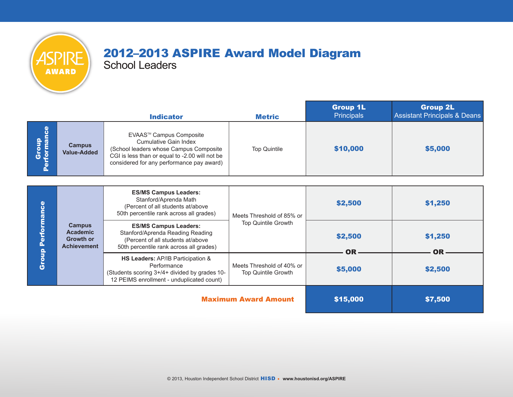

# 2012–2013 ASPIRE Award Model Diagram

School Leaders

|            |                                     | <b>Indicator</b>                                                                                                                                                                          | <b>Metric</b>       | <b>Group 1L</b><br><b>Principals</b> | <b>Group 2L</b><br>Assistant Principals & Deans |
|------------|-------------------------------------|-------------------------------------------------------------------------------------------------------------------------------------------------------------------------------------------|---------------------|--------------------------------------|-------------------------------------------------|
| စ် ဒီ<br>ñ | <b>Campus</b><br><b>Value-Added</b> | EVAAS™ Campus Composite<br>Cumulative Gain Index<br>(School leaders whose Campus Composite<br>CGI is less than or equal to -2.00 will not be<br>considered for any performance pay award) | <b>Top Quintile</b> | \$10,000                             | \$5,000                                         |

| ω<br>anc<br>Δ.<br>$\mathbf{Q}$<br>Grou |                                                                            | <b>ES/MS Campus Leaders:</b><br>Stanford/Aprenda Math<br>(Percent of all students at/above<br>50th percentile rank across all grades)            | Meets Threshold of 85% or                               | \$2,500       | \$1,250        |
|----------------------------------------|----------------------------------------------------------------------------|--------------------------------------------------------------------------------------------------------------------------------------------------|---------------------------------------------------------|---------------|----------------|
|                                        | <b>Campus</b><br><b>Academic</b><br><b>Growth or</b><br><b>Achievement</b> | <b>ES/MS Campus Leaders:</b><br>Stanford/Aprenda Reading Reading<br>(Percent of all students at/above<br>50th percentile rank across all grades) | <b>Top Quintile Growth</b>                              | \$2,500<br>OR | \$1,250<br>NR. |
|                                        |                                                                            | HS Leaders: AP/IB Participation &<br>Performance<br>(Students scoring 3+/4+ divided by grades 10-<br>12 PEIMS enrollment - unduplicated count)   | Meets Threshold of 40% or<br><b>Top Quintile Growth</b> | \$5,000       | \$2,500        |
|                                        |                                                                            | <b>Maximum Award Amount</b>                                                                                                                      | \$15,000                                                | \$7,500       |                |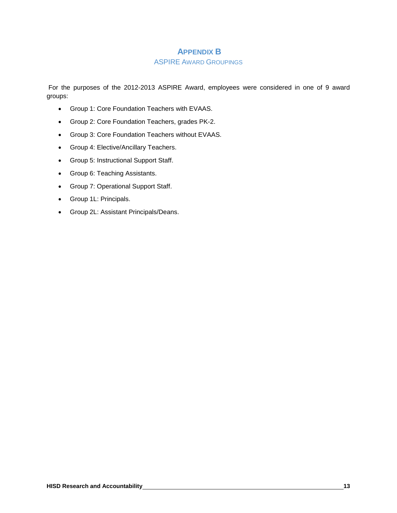### **APPENDIX B**

#### ASPIRE AWARD GROUPINGS

For the purposes of the 2012-2013 ASPIRE Award, employees were considered in one of 9 award groups:

- Group 1: Core Foundation Teachers with EVAAS.
- Group 2: Core Foundation Teachers, grades PK-2.
- Group 3: Core Foundation Teachers without EVAAS.
- Group 4: Elective/Ancillary Teachers.
- Group 5: Instructional Support Staff.
- Group 6: Teaching Assistants.
- Group 7: Operational Support Staff.
- Group 1L: Principals.
- Group 2L: Assistant Principals/Deans.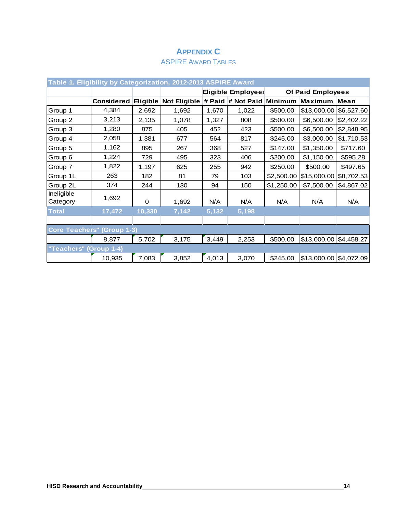## **APPENDIX C**

## ASPIRE AWARD TABLES

| Table 1. Eligibility by Categorization, 2012-2013 ASPIRE Award |                   |          |                     |       |                           |                          |                         |            |  |  |  |
|----------------------------------------------------------------|-------------------|----------|---------------------|-------|---------------------------|--------------------------|-------------------------|------------|--|--|--|
|                                                                |                   |          |                     |       | <b>Eligible Employees</b> | <b>Of Paid Employees</b> |                         |            |  |  |  |
|                                                                | <b>Considered</b> | Eligible | <b>Not Eligible</b> |       | # Paid # Not Paid         | Minimum                  | <b>Maximum</b>          | Mean       |  |  |  |
| Group 1                                                        | 4,384             | 2,692    | 1,692               | 1,670 | 1,022                     | \$500.00                 | \$13,000.00             | \$6,527.60 |  |  |  |
| Group 2                                                        | 3,213             | 2,135    | 1,078               | 1,327 | 808                       | \$500.00                 | \$6,500.00              | \$2,402.22 |  |  |  |
| Group 3                                                        | 1,280             | 875      | 405                 | 452   | 423                       | \$500.00                 | \$6,500.00              | \$2,848.95 |  |  |  |
| Group 4                                                        | 2,058             | 1,381    | 677                 | 564   | 817                       | \$245.00                 | \$3,000.00              | \$1,710.53 |  |  |  |
| Group 5                                                        | 1,162             | 895      | 267                 | 368   | 527                       | \$147.00                 | \$1,350.00              | \$717.60   |  |  |  |
| Group 6                                                        | 1,224             | 729      | 495                 | 323   | 406                       | \$200.00                 | \$1,150.00              | \$595.28   |  |  |  |
| Group 7                                                        | 1,822             | 1,197    | 625                 | 255   | 942                       | \$250.00                 | \$500.00                | \$497.65   |  |  |  |
| Group 1L                                                       | 263               | 182      | 81                  | 79    | 103                       | \$2,500.00               | \$15,000.00             | \$8,702.53 |  |  |  |
| Group 2L                                                       | 374               | 244      | 130                 | 94    | 150                       | \$1,250.00               | \$7,500.00              | \$4,867.02 |  |  |  |
| Ineligible<br>Category                                         | 1,692             | $\Omega$ | 1,692               | N/A   | N/A                       | N/A                      | N/A                     | N/A        |  |  |  |
| <b>Total</b>                                                   | 17,472            | 10,330   | 7,142               | 5,132 | 5,198                     |                          |                         |            |  |  |  |
|                                                                |                   |          |                     |       |                           |                          |                         |            |  |  |  |
| <b>Core Teachers" (Group 1-3)</b>                              |                   |          |                     |       |                           |                          |                         |            |  |  |  |
|                                                                | 8,877             | 5,702    | 3,175               | 3,449 | 2,253                     | \$500.00                 | \$13,000.00 \$4,458.27  |            |  |  |  |
| "Teachers" (Group 1-4)                                         |                   |          |                     |       |                           |                          |                         |            |  |  |  |
|                                                                | 10,935            | 7,083    | 3,852               | 4,013 | 3,070                     | \$245.00                 | $$13,000.00$ \$4,072.09 |            |  |  |  |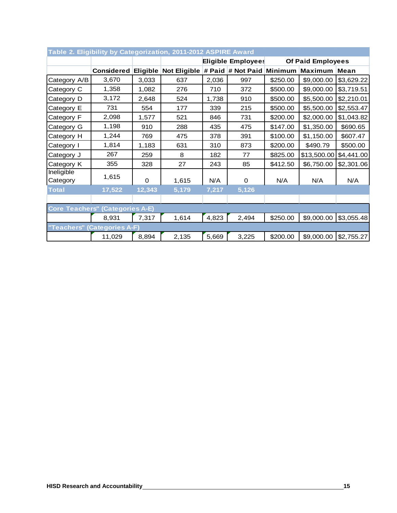| Table 2. Eligibility by Categorization, 2011-2012 ASPIRE Award |                   |        |                                                       |       |       |          |              |            |  |
|----------------------------------------------------------------|-------------------|--------|-------------------------------------------------------|-------|-------|----------|--------------|------------|--|
|                                                                |                   |        | <b>Eligible Employees</b><br><b>Of Paid Employees</b> |       |       |          |              |            |  |
|                                                                | <b>Considered</b> |        | Eligible Not Eligible # Paid # Not Paid Minimum       |       |       |          | Maximum Mean |            |  |
| Category A/B                                                   | 3,670             | 3,033  | 637                                                   | 2,036 | 997   | \$250.00 | \$9,000.00   | \$3,629.22 |  |
| Category C                                                     | 1,358             | 1,082  | 276                                                   | 710   | 372   | \$500.00 | \$9,000.00   | \$3,719.51 |  |
| Category D                                                     | 3,172             | 2,648  | 524                                                   | 1,738 | 910   | \$500.00 | \$5,500.00   | \$2,210.01 |  |
| Category E                                                     | 731               | 554    | 177                                                   | 339   | 215   | \$500.00 | \$5,500.00   | \$2,553.47 |  |
| Category F                                                     | 2,098             | 1,577  | 521                                                   | 846   | 731   | \$200.00 | \$2,000.00   | \$1,043.82 |  |
| Category G                                                     | 1,198             | 910    | 288                                                   | 435   | 475   | \$147.00 | \$1,350.00   | \$690.65   |  |
| Category H                                                     | 1,244             | 769    | 475                                                   | 378   | 391   | \$100.00 | \$1,150.00   | \$607.47   |  |
| Category I                                                     | 1,814             | 1,183  | 631                                                   | 310   | 873   | \$200.00 | \$490.79     | \$500.00   |  |
| Category J                                                     | 267               | 259    | 8                                                     | 182   | 77    | \$825.00 | \$13,500.00  | \$4,441.00 |  |
| Category K                                                     | 355               | 328    | 27                                                    | 243   | 85    | \$412.50 | \$6,750.00   | \$2,301.06 |  |
| Ineligible<br>Category                                         | 1,615             | 0      | 1,615                                                 | N/A   | 0     | N/A      | N/A          | N/A        |  |
| <b>Total</b>                                                   | 17,522            | 12,343 | 5,179                                                 | 7,217 | 5,126 |          |              |            |  |
|                                                                |                   |        |                                                       |       |       |          |              |            |  |
| <b>Core Teachers" (Categories A-E)</b>                         |                   |        |                                                       |       |       |          |              |            |  |
|                                                                | 8,931             | 7,317  | 1,614                                                 | 4,823 | 2,494 | \$250.00 | \$9,000.00   | \$3,055.48 |  |
| "Teachers" (Categories A-F)                                    |                   |        |                                                       |       |       |          |              |            |  |
|                                                                | 11,029            | 8,894  | 2,135                                                 | 5,669 | 3,225 | \$200.00 | \$9,000.00   | \$2,755.27 |  |

#### **Table 2. Eligibility by Categorization, 2011-2012 ASPIRE Award**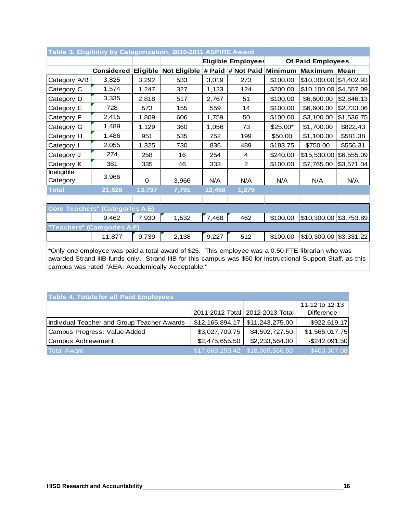| Table 3. Eligibility by Categorization, 2010-2011 ASPIRE Award |                   |          |                                                |        |                           |          |                          |             |  |
|----------------------------------------------------------------|-------------------|----------|------------------------------------------------|--------|---------------------------|----------|--------------------------|-------------|--|
|                                                                |                   |          | <b>Eligible Employees</b><br>Of Paid Employees |        |                           |          |                          |             |  |
|                                                                | <b>Considered</b> | Eligible | <b>Not Eligible</b>                            |        | # Paid # Not Paid Minimum |          | <b>Maximum</b>           | <b>Mean</b> |  |
| Category A/B                                                   | 3,825             | 3,292    | 533                                            | 3,019  | 273                       | \$100.00 | $$10,300.00$ $$4,402.93$ |             |  |
| Category C                                                     | 1,574             | 1,247    | 327                                            | 1,123  | 124                       | \$200.00 | \$10,100.00 \$4,557.09   |             |  |
| Category D                                                     | 3,335             | 2,818    | 517                                            | 2,767  | 51                        | \$100.00 | \$6,600.00               | \$2,846.13  |  |
| Category E                                                     | 728               | 573      | 155                                            | 559    | 14                        | \$100.00 | \$6,600.00               | \$2,733.06  |  |
| Category F                                                     | 2,415             | 1,809    | 606                                            | 1,759  | 50                        | \$100.00 | \$3,100.00               | \$1,536.75  |  |
| Category G                                                     | 1,489             | 1,129    | 360                                            | 1,056  | 73                        | \$25.00* | \$1,700.00               | \$822.43    |  |
| Category H                                                     | 1,486             | 951      | 535                                            | 752    | 199                       | \$50.00  | \$1,100.00               | \$581.38    |  |
| Category I                                                     | 2,055             | 1,325    | 730                                            | 836    | 489                       | \$183.75 | \$750.00                 | \$556.31    |  |
| Category J                                                     | 274               | 258      | 16                                             | 254    | 4                         | \$240.00 | \$15,530.00              | \$6,555.09  |  |
| Category K                                                     | 381               | 335      | 46                                             | 333    | $\overline{2}$            | \$100.00 | \$7,765.00               | \$3,571.04  |  |
| Ineligible<br>Category                                         | 3,966             | $\Omega$ | 3,966                                          | N/A    | N/A                       | N/A      | N/A                      | N/A         |  |
| <b>Total</b>                                                   | 21,528            | 13,737   | 7,791                                          | 12,458 | 1,279                     |          |                          |             |  |
|                                                                |                   |          |                                                |        |                           |          |                          |             |  |
| <b>Core Teachers" (Categories A-E)</b>                         |                   |          |                                                |        |                           |          |                          |             |  |
|                                                                | 9,462             | 7,930    | 1,532                                          | 7,468  | 462                       | \$100.00 | $$10,300.00$ $$3,753.89$ |             |  |
| "Teachers" (Categories A-F)                                    |                   |          |                                                |        |                           |          |                          |             |  |
|                                                                | 11,877            | 9,739    | 2,138                                          | 9,227  | 512                       | \$100.00 | $$10,300.00$ $$3,331.22$ |             |  |

## \*Only one employee was paid a total award of \$25. This employee was a 0.50 FTE librarian who was awarded Strand IIIB funds only. Strand IIIB for this campus was \$50 for Instructional Support Staff, as this campus was rated "AEA: Academically Acceptable."

| <b>Table 4. Totals for all Paid Employees</b> |                 |                                   |                   |  |  |  |  |  |  |  |
|-----------------------------------------------|-----------------|-----------------------------------|-------------------|--|--|--|--|--|--|--|
|                                               |                 |                                   | 11-12 to 12-13    |  |  |  |  |  |  |  |
|                                               |                 | 2011-2012 Total   2012-2013 Total | <b>Difference</b> |  |  |  |  |  |  |  |
| Individual Teacher and Group Teacher Awards   | \$12,165,894.17 | \$11,243,275.00                   | $-$ \$922,619.17  |  |  |  |  |  |  |  |
| Campus Progress: Value-Added                  | \$3,027,709.75  | \$4,592,727.50                    | \$1,565,017.75    |  |  |  |  |  |  |  |
| <b>Campus Achievement</b>                     | \$2,475,655.50  | \$2,233,564.00                    | $-$ \$242,091.50  |  |  |  |  |  |  |  |
| <b>Total Award</b>                            |                 | $$17,669,259.42$ $$18,069,566.50$ | \$400,307.08      |  |  |  |  |  |  |  |

#### **Table 3. Eligibility by Categorization, 2010-2011 ASPIRE Award**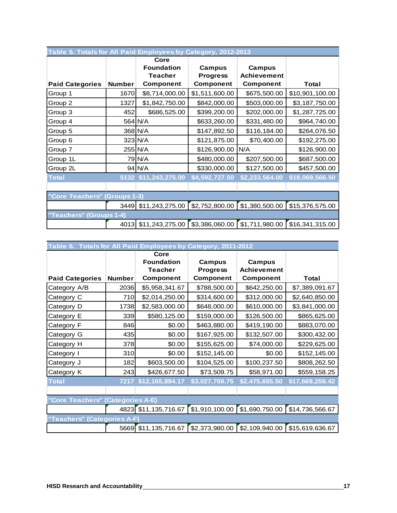| Table 5. Totals for All Paid Employees by Category, 2012-2013 |               |                                                                 |                                        |                                                  |                 |  |  |  |  |  |
|---------------------------------------------------------------|---------------|-----------------------------------------------------------------|----------------------------------------|--------------------------------------------------|-----------------|--|--|--|--|--|
| <b>Paid Categories</b>                                        | <b>Number</b> | Core<br><b>Foundation</b><br><b>Teacher</b><br><b>Component</b> | Campus<br><b>Progress</b><br>Component | Campus<br><b>Achievement</b><br><b>Component</b> | Total           |  |  |  |  |  |
| Group 1                                                       | 1670          | \$8,714,000.00                                                  | \$1,511,600.00                         | \$675,500.00                                     | \$10,901,100.00 |  |  |  |  |  |
| Group 2                                                       | 1327          | \$1,842,750.00                                                  | \$842,000.00                           | \$503,000.00                                     | \$3,187,750.00  |  |  |  |  |  |
| Group 3                                                       | 452           | \$686,525.00                                                    | \$399,200.00                           | \$202,000.00                                     | \$1,287,725.00  |  |  |  |  |  |
| Group 4                                                       |               | 564 N/A                                                         | \$633,260.00                           | \$331,480.00                                     | \$964,740.00    |  |  |  |  |  |
| Group 5                                                       |               | 368 N/A                                                         | \$147,892.50                           | \$116,184.00                                     | \$264,076.50    |  |  |  |  |  |
| Group 6                                                       |               | 323 N/A                                                         | \$121,875.00                           | \$70,400.00                                      | \$192,275.00    |  |  |  |  |  |
| Group 7                                                       |               | 255 N/A                                                         | \$126,900.00                           | N/A                                              | \$126,900.00    |  |  |  |  |  |
| Group 1L                                                      |               | 79 N/A                                                          | \$480,000.00                           | \$207,500.00                                     | \$687,500.00    |  |  |  |  |  |
| Group 2L                                                      |               | 94 N/A                                                          | \$330,000.00                           | \$127,500.00                                     | \$457,500.00    |  |  |  |  |  |
| <b>Total</b>                                                  |               | 5132 \$11,243,275.00                                            | \$4,592,727.50                         | \$2,233,564.00                                   | \$18,069,566.50 |  |  |  |  |  |
|                                                               |               |                                                                 |                                        |                                                  |                 |  |  |  |  |  |
| "Core Teachers" (Groups 1-3)                                  |               |                                                                 |                                        |                                                  |                 |  |  |  |  |  |
|                                                               |               | 3449 \$11,243,275.00                                            | \$2,752,800.00                         | \$1,380,500.00                                   | \$15,376,575.00 |  |  |  |  |  |
| "Teachers" (Groups 1-4)                                       |               |                                                                 |                                        |                                                  |                 |  |  |  |  |  |
|                                                               |               | 4013 \$11,243,275.00                                            | \$3,386,060.00                         | \$1,711,980.00                                   | \$16,341,315.00 |  |  |  |  |  |

| Table 6. Totals for All Paid Employees by Category, 2011-2012 |                   |                      |                  |                    |                 |  |  |  |  |  |
|---------------------------------------------------------------|-------------------|----------------------|------------------|--------------------|-----------------|--|--|--|--|--|
|                                                               |                   | Core                 |                  |                    |                 |  |  |  |  |  |
|                                                               |                   | <b>Foundation</b>    | Campus           | Campus             |                 |  |  |  |  |  |
|                                                               |                   | Teacher              | <b>Progress</b>  | <b>Achievement</b> |                 |  |  |  |  |  |
| <b>Paid Categories</b>                                        | <b>Number</b>     | <b>Component</b>     | <b>Component</b> | Component          | <b>Total</b>    |  |  |  |  |  |
| Category A/B                                                  | 2036              | \$5,958,341.67       | \$788,500.00     | \$642,250.00       | \$7,389,091.67  |  |  |  |  |  |
| Category C                                                    | 710               | \$2,014,250.00       | \$314,600.00     | \$312,000.00       | \$2,640,850.00  |  |  |  |  |  |
| Category D                                                    | 1738              | \$2,583,000.00       | \$648,000.00     | \$610,000.00       | \$3,841,000.00  |  |  |  |  |  |
| Category E                                                    | 339               | \$580,125.00         | \$159,000.00     | \$126,500.00       | \$865,625.00    |  |  |  |  |  |
| Category F                                                    | 846               | \$0.00               | \$463,880.00     | \$419,190.00       | \$883,070.00    |  |  |  |  |  |
| Category G                                                    | 435               | \$0.00               | \$167,925.00     | \$132,507.00       | \$300,432.00    |  |  |  |  |  |
| Category H                                                    | 378               | \$0.00               | \$155,625.00     | \$74,000.00        | \$229,625.00    |  |  |  |  |  |
| Category I                                                    | 310               | \$0.00               | \$152,145.00     | \$0.00             | \$152,145.00    |  |  |  |  |  |
| Category J                                                    | 182               | \$603,500.00         | \$104,525.00     | \$100,237.50       | \$808,262.50    |  |  |  |  |  |
| Category K                                                    | 243               | \$426,677.50         | \$73,509.75      | \$58,971.00        | \$559,158.25    |  |  |  |  |  |
| <b>Total</b>                                                  |                   | 7217 \$12,165,894.17 | \$3,027,709.75   | \$2,475,655.50     | \$17,669,259.42 |  |  |  |  |  |
|                                                               |                   |                      |                  |                    |                 |  |  |  |  |  |
| "Core Teachers" (Categories A-E)                              |                   |                      |                  |                    |                 |  |  |  |  |  |
|                                                               | 4823              | \$11,135,716.67      | \$1,910,100.00   | \$1,690,750.00     | \$14,736,566.67 |  |  |  |  |  |
| "Teachers" (Categories A-F)                                   |                   |                      |                  |                    |                 |  |  |  |  |  |
|                                                               | 5669 <sub>I</sub> | \$11,135,716.67      | \$2,373,980.00   | \$2,109,940.00     | \$15,619,636.67 |  |  |  |  |  |